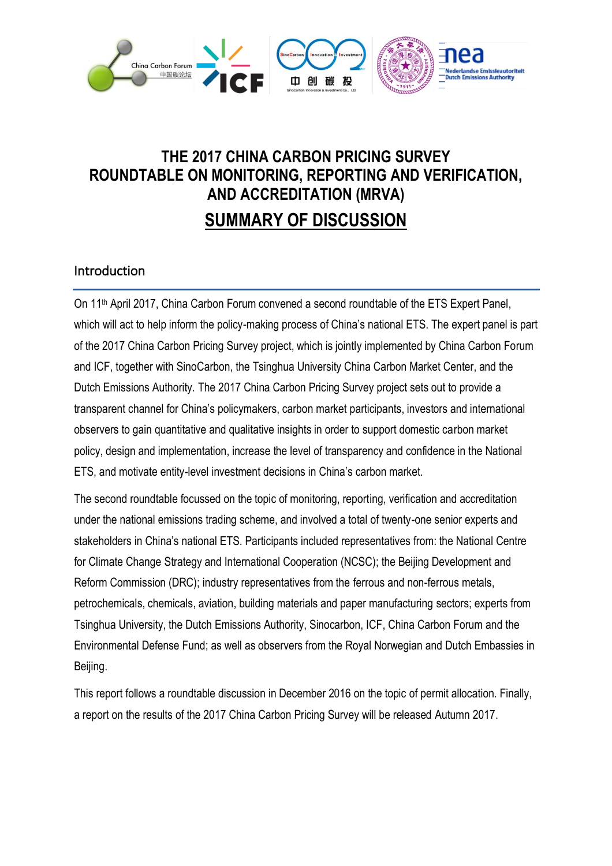

# **THE 2017 CHINA CARBON PRICING SURVEY ROUNDTABLE ON MONITORING, REPORTING AND VERIFICATION, AND ACCREDITATION (MRVA) SUMMARY OF DISCUSSION**

### Introduction

On 11th April 2017, China Carbon Forum convened a second roundtable of the ETS Expert Panel, which will act to help inform the policy-making process of China's national ETS. The expert panel is part of the 2017 China Carbon Pricing Survey project, which is jointly implemented by China Carbon Forum and ICF, together with SinoCarbon, the Tsinghua University China Carbon Market Center, and the Dutch Emissions Authority. The 2017 China Carbon Pricing Survey project sets out to provide a transparent channel for China's policymakers, carbon market participants, investors and international observers to gain quantitative and qualitative insights in order to support domestic carbon market policy, design and implementation, increase the level of transparency and confidence in the National ETS, and motivate entity-level investment decisions in China's carbon market.

The second roundtable focussed on the topic of monitoring, reporting, verification and accreditation under the national emissions trading scheme, and involved a total of twenty-one senior experts and stakeholders in China's national ETS. Participants included representatives from: the National Centre for Climate Change Strategy and International Cooperation (NCSC); the Beijing Development and Reform Commission (DRC); industry representatives from the ferrous and non-ferrous metals, petrochemicals, chemicals, aviation, building materials and paper manufacturing sectors; experts from Tsinghua University, the Dutch Emissions Authority, Sinocarbon, ICF, China Carbon Forum and the Environmental Defense Fund; as well as observers from the Royal Norwegian and Dutch Embassies in Beijing.

This report follows a roundtable discussion in December 2016 on the topic of permit allocation. Finally, a report on the results of the 2017 China Carbon Pricing Survey will be released Autumn 2017.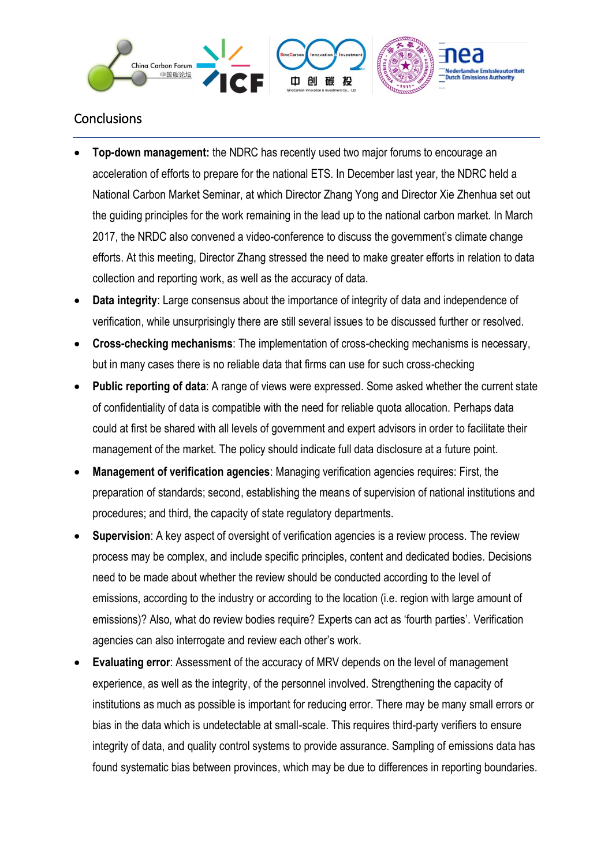

### **Conclusions**

- **Top-down management:** the NDRC has recently used two major forums to encourage an acceleration of efforts to prepare for the national ETS. In December last year, the NDRC held a National Carbon Market Seminar, at which Director Zhang Yong and Director Xie Zhenhua set out the guiding principles for the work remaining in the lead up to the national carbon market. In March 2017, the NRDC also convened a video-conference to discuss the government's climate change efforts. At this meeting, Director Zhang stressed the need to make greater efforts in relation to data collection and reporting work, as well as the accuracy of data.
- **Data integrity**: Large consensus about the importance of integrity of data and independence of verification, while unsurprisingly there are still several issues to be discussed further or resolved.
- **Cross-checking mechanisms**: The implementation of cross-checking mechanisms is necessary, but in many cases there is no reliable data that firms can use for such cross-checking
- **Public reporting of data**: A range of views were expressed. Some asked whether the current state of confidentiality of data is compatible with the need for reliable quota allocation. Perhaps data could at first be shared with all levels of government and expert advisors in order to facilitate their management of the market. The policy should indicate full data disclosure at a future point.
- **Management of verification agencies**: Managing verification agencies requires: First, the preparation of standards; second, establishing the means of supervision of national institutions and procedures; and third, the capacity of state regulatory departments.
- **Supervision:** A key aspect of oversight of verification agencies is a review process. The review process may be complex, and include specific principles, content and dedicated bodies. Decisions need to be made about whether the review should be conducted according to the level of emissions, according to the industry or according to the location (i.e. region with large amount of emissions)? Also, what do review bodies require? Experts can act as 'fourth parties'. Verification agencies can also interrogate and review each other's work.
- **Evaluating error**: Assessment of the accuracy of MRV depends on the level of management experience, as well as the integrity, of the personnel involved. Strengthening the capacity of institutions as much as possible is important for reducing error. There may be many small errors or bias in the data which is undetectable at small-scale. This requires third-party verifiers to ensure integrity of data, and quality control systems to provide assurance. Sampling of emissions data has found systematic bias between provinces, which may be due to differences in reporting boundaries.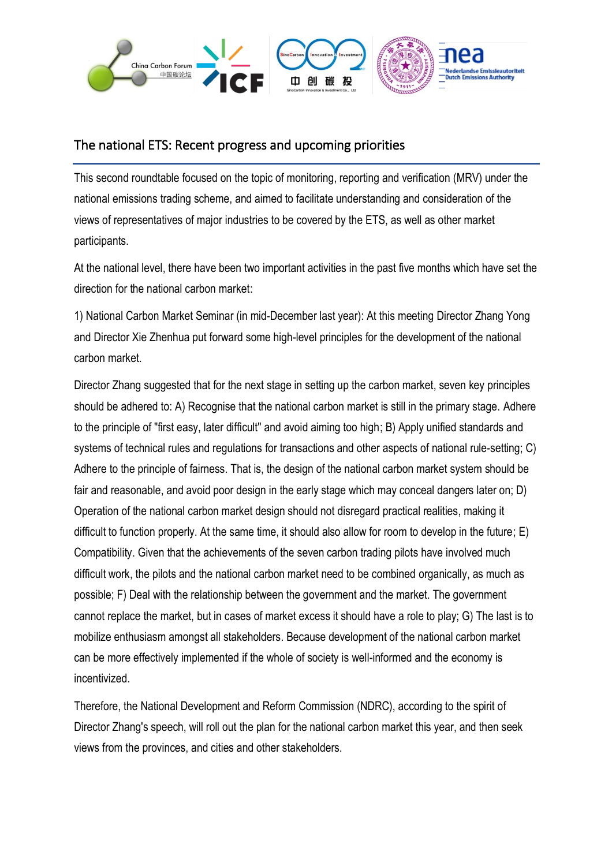

#### The national ETS: Recent progress and upcoming priorities

This second roundtable focused on the topic of monitoring, reporting and verification (MRV) under the national emissions trading scheme, and aimed to facilitate understanding and consideration of the views of representatives of major industries to be covered by the ETS, as well as other market participants.

At the national level, there have been two important activities in the past five months which have set the direction for the national carbon market:

1) National Carbon Market Seminar (in mid-December last year): At this meeting Director Zhang Yong and Director Xie Zhenhua put forward some high-level principles for the development of the national carbon market.

Director Zhang suggested that for the next stage in setting up the carbon market, seven key principles should be adhered to: A) Recognise that the national carbon market is still in the primary stage. Adhere to the principle of "first easy, later difficult" and avoid aiming too high; B) Apply unified standards and systems of technical rules and regulations for transactions and other aspects of national rule-setting; C) Adhere to the principle of fairness. That is, the design of the national carbon market system should be fair and reasonable, and avoid poor design in the early stage which may conceal dangers later on; D) Operation of the national carbon market design should not disregard practical realities, making it difficult to function properly. At the same time, it should also allow for room to develop in the future; E) Compatibility. Given that the achievements of the seven carbon trading pilots have involved much difficult work, the pilots and the national carbon market need to be combined organically, as much as possible; F) Deal with the relationship between the government and the market. The government cannot replace the market, but in cases of market excess it should have a role to play; G) The last is to mobilize enthusiasm amongst all stakeholders. Because development of the national carbon market can be more effectively implemented if the whole of society is well-informed and the economy is incentivized.

Therefore, the National Development and Reform Commission (NDRC), according to the spirit of Director Zhang's speech, will roll out the plan for the national carbon market this year, and then seek views from the provinces, and cities and other stakeholders.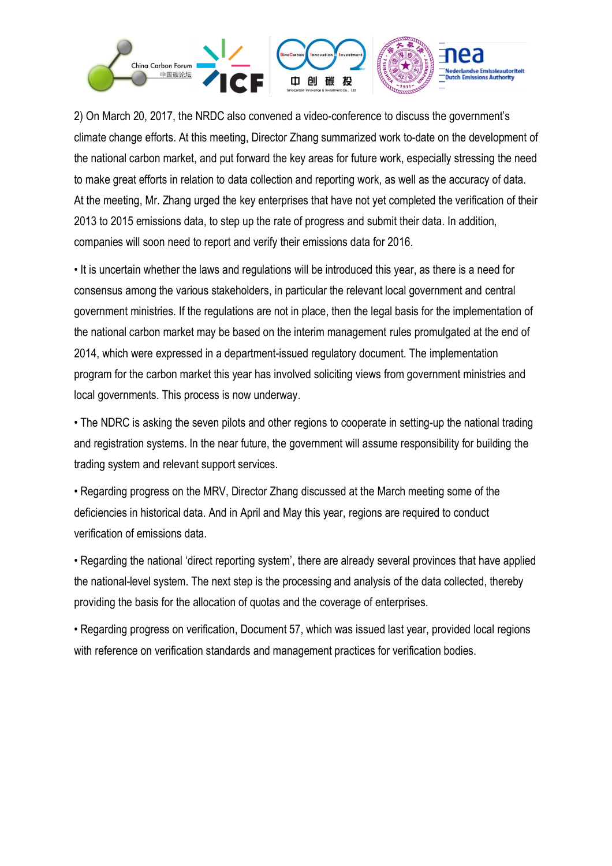

2) On March 20, 2017, the NRDC also convened a video-conference to discuss the government's climate change efforts. At this meeting, Director Zhang summarized work to-date on the development of the national carbon market, and put forward the key areas for future work, especially stressing the need to make great efforts in relation to data collection and reporting work, as well as the accuracy of data. At the meeting, Mr. Zhang urged the key enterprises that have not yet completed the verification of their 2013 to 2015 emissions data, to step up the rate of progress and submit their data. In addition, companies will soon need to report and verify their emissions data for 2016.

• It is uncertain whether the laws and regulations will be introduced this year, as there is a need for consensus among the various stakeholders, in particular the relevant local government and central government ministries. If the regulations are not in place, then the legal basis for the implementation of the national carbon market may be based on the interim management rules promulgated at the end of 2014, which were expressed in a department-issued regulatory document. The implementation program for the carbon market this year has involved soliciting views from government ministries and local governments. This process is now underway.

• The NDRC is asking the seven pilots and other regions to cooperate in setting-up the national trading and registration systems. In the near future, the government will assume responsibility for building the trading system and relevant support services.

• Regarding progress on the MRV, Director Zhang discussed at the March meeting some of the deficiencies in historical data. And in April and May this year, regions are required to conduct verification of emissions data.

• Regarding the national 'direct reporting system', there are already several provinces that have applied the national-level system. The next step is the processing and analysis of the data collected, thereby providing the basis for the allocation of quotas and the coverage of enterprises.

• Regarding progress on verification, Document 57, which was issued last year, provided local regions with reference on verification standards and management practices for verification bodies.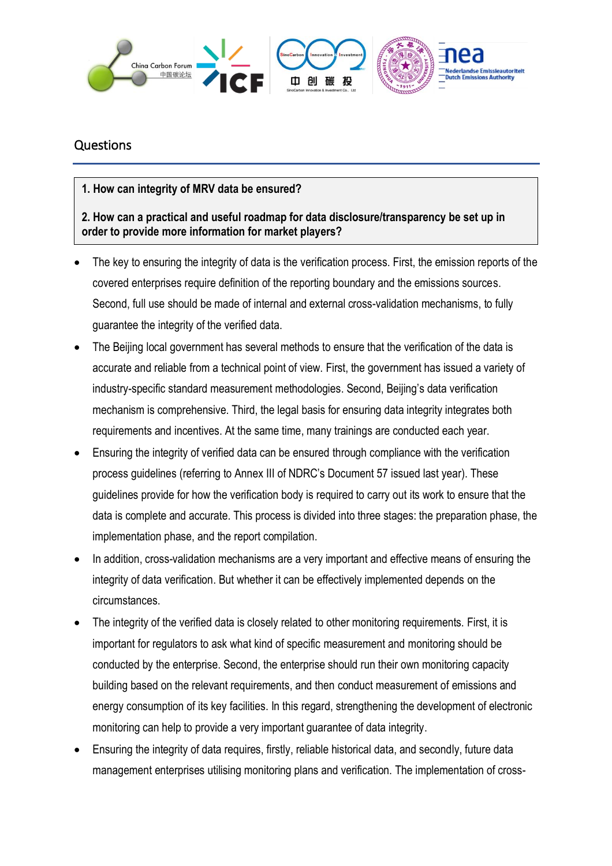

#### Questions

**1. How can integrity of MRV data be ensured?**

**2. How can a practical and useful roadmap for data disclosure/transparency be set up in order to provide more information for market players?**

- The key to ensuring the integrity of data is the verification process. First, the emission reports of the covered enterprises require definition of the reporting boundary and the emissions sources. Second, full use should be made of internal and external cross-validation mechanisms, to fully guarantee the integrity of the verified data.
- The Beijing local government has several methods to ensure that the verification of the data is accurate and reliable from a technical point of view. First, the government has issued a variety of industry-specific standard measurement methodologies. Second, Beijing's data verification mechanism is comprehensive. Third, the legal basis for ensuring data integrity integrates both requirements and incentives. At the same time, many trainings are conducted each year.
- Ensuring the integrity of verified data can be ensured through compliance with the verification process guidelines (referring to Annex III of NDRC's Document 57 issued last year). These guidelines provide for how the verification body is required to carry out its work to ensure that the data is complete and accurate. This process is divided into three stages: the preparation phase, the implementation phase, and the report compilation.
- In addition, cross-validation mechanisms are a very important and effective means of ensuring the integrity of data verification. But whether it can be effectively implemented depends on the circumstances.
- The integrity of the verified data is closely related to other monitoring requirements. First, it is important for regulators to ask what kind of specific measurement and monitoring should be conducted by the enterprise. Second, the enterprise should run their own monitoring capacity building based on the relevant requirements, and then conduct measurement of emissions and energy consumption of its key facilities. In this regard, strengthening the development of electronic monitoring can help to provide a very important guarantee of data integrity.
- Ensuring the integrity of data requires, firstly, reliable historical data, and secondly, future data management enterprises utilising monitoring plans and verification. The implementation of cross-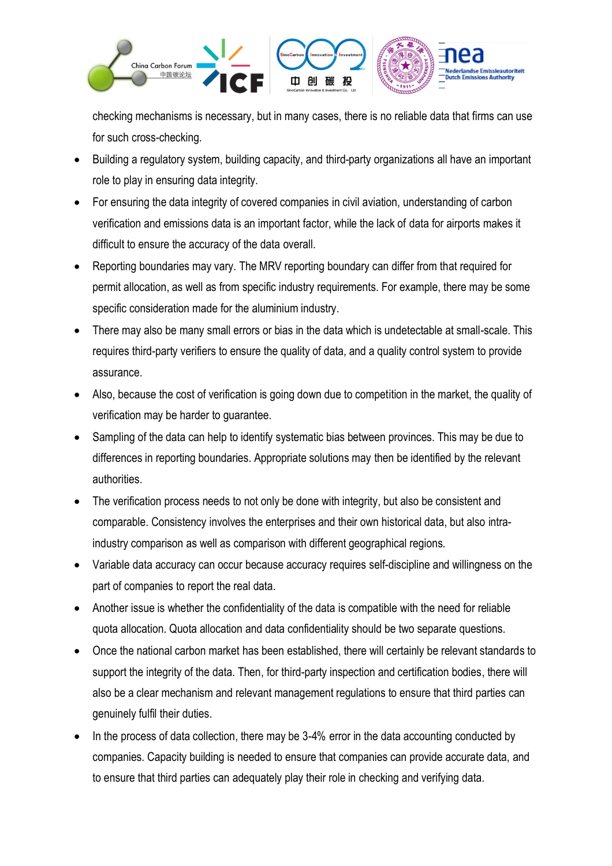

checking mechanisms is necessary, but in many cases, there is no reliable data that firms can use for such cross-checking.

- Building a regulatory system, building capacity, and third-party organizations all have an important role to play in ensuring data integrity.
- For ensuring the data integrity of covered companies in civil aviation, understanding of carbon verification and emissions data is an important factor, while the lack of data for airports makes it difficult to ensure the accuracy of the data overall.
- Reporting boundaries may vary. The MRV reporting boundary can differ from that required for permit allocation, as well as from specific industry requirements. For example, there may be some specific consideration made for the aluminium industry.
- There may also be many small errors or bias in the data which is undetectable at small-scale. This requires third-party verifiers to ensure the quality of data, and a quality control system to provide assurance.
- Also, because the cost of verification is going down due to competition in the market, the quality of verification may be harder to guarantee.
- Sampling of the data can help to identify systematic bias between provinces. This may be due to differences in reporting boundaries. Appropriate solutions may then be identified by the relevant authorities.
- The verification process needs to not only be done with integrity, but also be consistent and comparable. Consistency involves the enterprises and their own historical data, but also intraindustry comparison as well as comparison with different geographical regions.
- Variable data accuracy can occur because accuracy requires self-discipline and willingness on the part of companies to report the real data.
- Another issue is whether the confidentiality of the data is compatible with the need for reliable quota allocation. Quota allocation and data confidentiality should be two separate questions.
- Once the national carbon market has been established, there will certainly be relevant standards to support the integrity of the data. Then, for third-party inspection and certification bodies, there will also be a clear mechanism and relevant management regulations to ensure that third parties can genuinely fulfil their duties.
- In the process of data collection, there may be 3-4% error in the data accounting conducted by companies. Capacity building is needed to ensure that companies can provide accurate data, and to ensure that third parties can adequately play their role in checking and verifying data.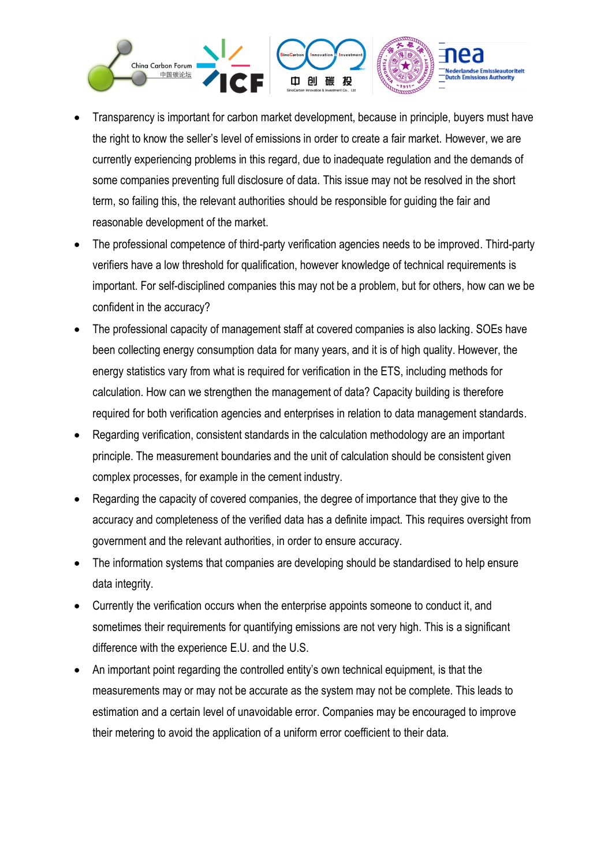

- Transparency is important for carbon market development, because in principle, buyers must have the right to know the seller's level of emissions in order to create a fair market. However, we are currently experiencing problems in this regard, due to inadequate regulation and the demands of some companies preventing full disclosure of data. This issue may not be resolved in the short term, so failing this, the relevant authorities should be responsible for guiding the fair and reasonable development of the market.
- The professional competence of third-party verification agencies needs to be improved. Third-party verifiers have a low threshold for qualification, however knowledge of technical requirements is important. For self-disciplined companies this may not be a problem, but for others, how can we be confident in the accuracy?
- The professional capacity of management staff at covered companies is also lacking. SOEs have been collecting energy consumption data for many years, and it is of high quality. However, the energy statistics vary from what is required for verification in the ETS, including methods for calculation. How can we strengthen the management of data? Capacity building is therefore required for both verification agencies and enterprises in relation to data management standards.
- Regarding verification, consistent standards in the calculation methodology are an important principle. The measurement boundaries and the unit of calculation should be consistent given complex processes, for example in the cement industry.
- Regarding the capacity of covered companies, the degree of importance that they give to the accuracy and completeness of the verified data has a definite impact. This requires oversight from government and the relevant authorities, in order to ensure accuracy.
- The information systems that companies are developing should be standardised to help ensure data integrity.
- Currently the verification occurs when the enterprise appoints someone to conduct it, and sometimes their requirements for quantifying emissions are not very high. This is a significant difference with the experience E.U. and the U.S.
- An important point regarding the controlled entity's own technical equipment, is that the measurements may or may not be accurate as the system may not be complete. This leads to estimation and a certain level of unavoidable error. Companies may be encouraged to improve their metering to avoid the application of a uniform error coefficient to their data.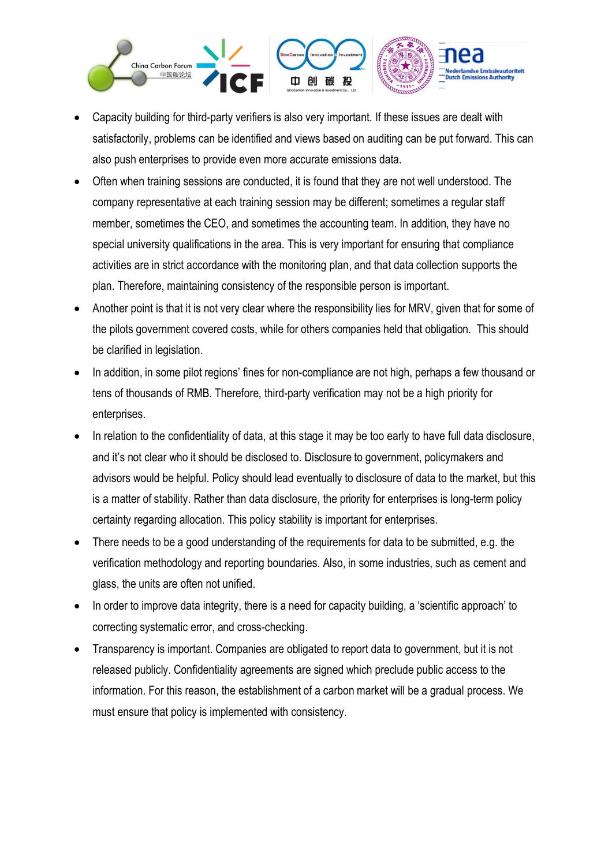

- Capacity building for third-party verifiers is also very important. If these issues are dealt with satisfactorily, problems can be identified and views based on auditing can be put forward. This can also push enterprises to provide even more accurate emissions data.
- Often when training sessions are conducted, it is found that they are not well understood. The company representative at each training session may be different; sometimes a regular staff member, sometimes the CEO, and sometimes the accounting team. In addition, they have no special university qualifications in the area. This is very important for ensuring that compliance activities are in strict accordance with the monitoring plan, and that data collection supports the plan. Therefore, maintaining consistency of the responsible person is important.
- Another point is that it is not very clear where the responsibility lies for MRV, given that for some of the pilots government covered costs, while for others companies held that obligation. This should be clarified in legislation.
- In addition, in some pilot regions' fines for non-compliance are not high, perhaps a few thousand or tens of thousands of RMB. Therefore, third-party verification may not be a high priority for enterprises.
- In relation to the confidentiality of data, at this stage it may be too early to have full data disclosure, and it's not clear who it should be disclosed to. Disclosure to government, policymakers and advisors would be helpful. Policy should lead eventually to disclosure of data to the market, but this is a matter of stability. Rather than data disclosure, the priority for enterprises is long-term policy certainty regarding allocation. This policy stability is important for enterprises.
- There needs to be a good understanding of the requirements for data to be submitted, e.g. the verification methodology and reporting boundaries. Also, in some industries, such as cement and glass, the units are often not unified.
- In order to improve data integrity, there is a need for capacity building, a 'scientific approach' to correcting systematic error, and cross-checking.
- Transparency is important. Companies are obligated to report data to government, but it is not released publicly. Confidentiality agreements are signed which preclude public access to the information. For this reason, the establishment of a carbon market will be a gradual process. We must ensure that policy is implemented with consistency.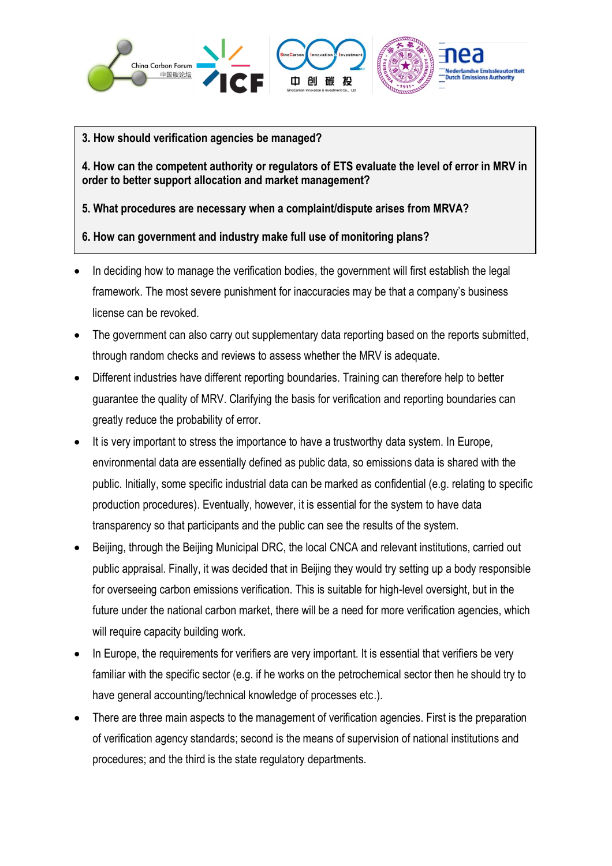

#### **3. How should verification agencies be managed?**

**4. How can the competent authority or regulators of ETS evaluate the level of error in MRV in order to better support allocation and market management?**

**5. What procedures are necessary when a complaint/dispute arises from MRVA?**

#### **6. How can government and industry make full use of monitoring plans?**

- In deciding how to manage the verification bodies, the government will first establish the legal framework. The most severe punishment for inaccuracies may be that a company's business license can be revoked.
- The government can also carry out supplementary data reporting based on the reports submitted, through random checks and reviews to assess whether the MRV is adequate.
- Different industries have different reporting boundaries. Training can therefore help to better guarantee the quality of MRV. Clarifying the basis for verification and reporting boundaries can greatly reduce the probability of error.
- It is very important to stress the importance to have a trustworthy data system. In Europe, environmental data are essentially defined as public data, so emissions data is shared with the public. Initially, some specific industrial data can be marked as confidential (e.g. relating to specific production procedures). Eventually, however, it is essential for the system to have data transparency so that participants and the public can see the results of the system.
- Beijing, through the Beijing Municipal DRC, the local CNCA and relevant institutions, carried out public appraisal. Finally, it was decided that in Beijing they would try setting up a body responsible for overseeing carbon emissions verification. This is suitable for high-level oversight, but in the future under the national carbon market, there will be a need for more verification agencies, which will require capacity building work.
- In Europe, the requirements for verifiers are very important. It is essential that verifiers be very familiar with the specific sector (e.g. if he works on the petrochemical sector then he should try to have general accounting/technical knowledge of processes etc.).
- There are three main aspects to the management of verification agencies. First is the preparation of verification agency standards; second is the means of supervision of national institutions and procedures; and the third is the state regulatory departments.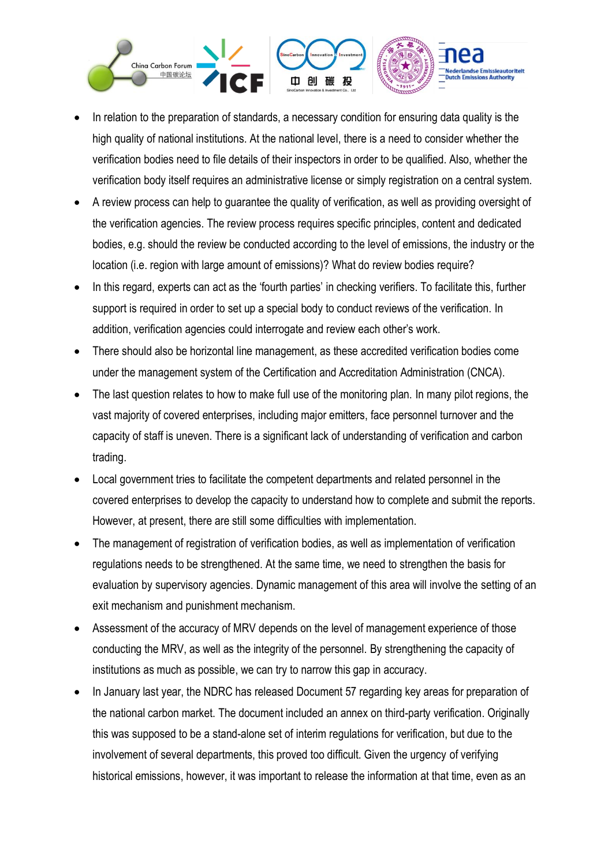

- In relation to the preparation of standards, a necessary condition for ensuring data quality is the high quality of national institutions. At the national level, there is a need to consider whether the verification bodies need to file details of their inspectors in order to be qualified. Also, whether the verification body itself requires an administrative license or simply registration on a central system.
- A review process can help to guarantee the quality of verification, as well as providing oversight of the verification agencies. The review process requires specific principles, content and dedicated bodies, e.g. should the review be conducted according to the level of emissions, the industry or the location (i.e. region with large amount of emissions)? What do review bodies require?
- In this regard, experts can act as the 'fourth parties' in checking verifiers. To facilitate this, further support is required in order to set up a special body to conduct reviews of the verification. In addition, verification agencies could interrogate and review each other's work.
- There should also be horizontal line management, as these accredited verification bodies come under the management system of the Certification and Accreditation Administration (CNCA).
- The last question relates to how to make full use of the monitoring plan. In many pilot regions, the vast majority of covered enterprises, including major emitters, face personnel turnover and the capacity of staff is uneven. There is a significant lack of understanding of verification and carbon trading.
- Local government tries to facilitate the competent departments and related personnel in the covered enterprises to develop the capacity to understand how to complete and submit the reports. However, at present, there are still some difficulties with implementation.
- The management of registration of verification bodies, as well as implementation of verification regulations needs to be strengthened. At the same time, we need to strengthen the basis for evaluation by supervisory agencies. Dynamic management of this area will involve the setting of an exit mechanism and punishment mechanism.
- Assessment of the accuracy of MRV depends on the level of management experience of those conducting the MRV, as well as the integrity of the personnel. By strengthening the capacity of institutions as much as possible, we can try to narrow this gap in accuracy.
- In January last year, the NDRC has released Document 57 regarding key areas for preparation of the national carbon market. The document included an annex on third-party verification. Originally this was supposed to be a stand-alone set of interim regulations for verification, but due to the involvement of several departments, this proved too difficult. Given the urgency of verifying historical emissions, however, it was important to release the information at that time, even as an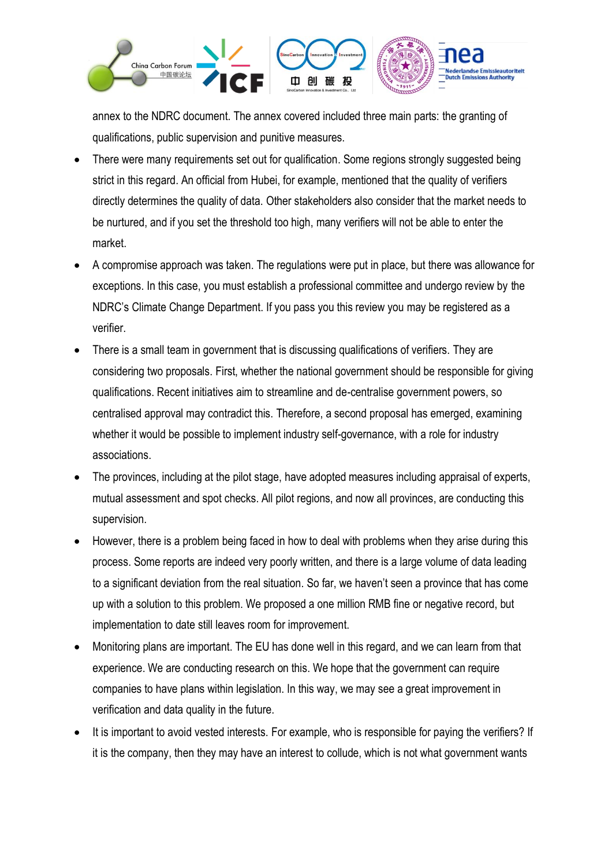

annex to the NDRC document. The annex covered included three main parts: the granting of qualifications, public supervision and punitive measures.

- There were many requirements set out for qualification. Some regions strongly suggested being strict in this regard. An official from Hubei, for example, mentioned that the quality of verifiers directly determines the quality of data. Other stakeholders also consider that the market needs to be nurtured, and if you set the threshold too high, many verifiers will not be able to enter the market.
- A compromise approach was taken. The regulations were put in place, but there was allowance for exceptions. In this case, you must establish a professional committee and undergo review by the NDRC's Climate Change Department. If you pass you this review you may be registered as a verifier.
- There is a small team in government that is discussing qualifications of verifiers. They are considering two proposals. First, whether the national government should be responsible for giving qualifications. Recent initiatives aim to streamline and de-centralise government powers, so centralised approval may contradict this. Therefore, a second proposal has emerged, examining whether it would be possible to implement industry self-governance, with a role for industry associations.
- The provinces, including at the pilot stage, have adopted measures including appraisal of experts, mutual assessment and spot checks. All pilot regions, and now all provinces, are conducting this supervision.
- However, there is a problem being faced in how to deal with problems when they arise during this process. Some reports are indeed very poorly written, and there is a large volume of data leading to a significant deviation from the real situation. So far, we haven't seen a province that has come up with a solution to this problem. We proposed a one million RMB fine or negative record, but implementation to date still leaves room for improvement.
- Monitoring plans are important. The EU has done well in this regard, and we can learn from that experience. We are conducting research on this. We hope that the government can require companies to have plans within legislation. In this way, we may see a great improvement in verification and data quality in the future.
- It is important to avoid vested interests. For example, who is responsible for paying the verifiers? If it is the company, then they may have an interest to collude, which is not what government wants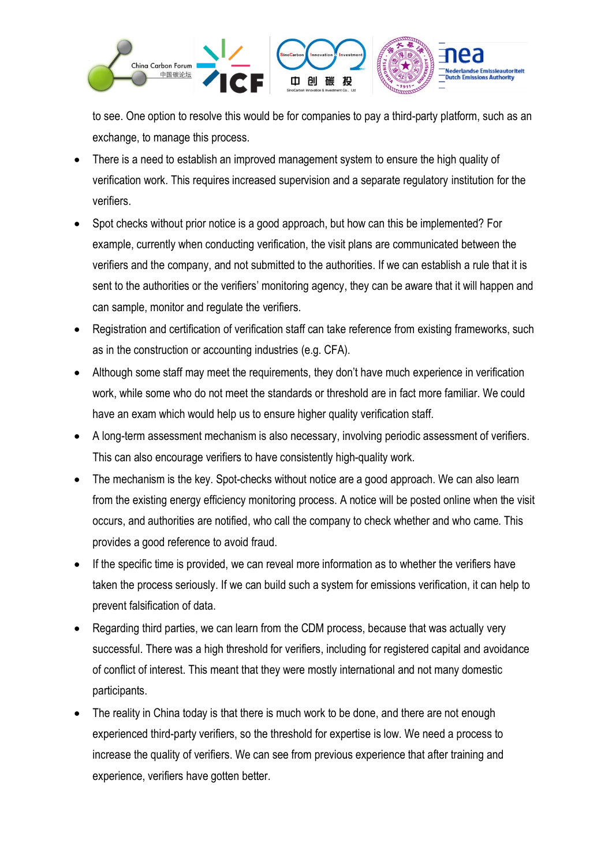

to see. One option to resolve this would be for companies to pay a third-party platform, such as an exchange, to manage this process.

- There is a need to establish an improved management system to ensure the high quality of verification work. This requires increased supervision and a separate regulatory institution for the verifiers.
- Spot checks without prior notice is a good approach, but how can this be implemented? For example, currently when conducting verification, the visit plans are communicated between the verifiers and the company, and not submitted to the authorities. If we can establish a rule that it is sent to the authorities or the verifiers' monitoring agency, they can be aware that it will happen and can sample, monitor and regulate the verifiers.
- Registration and certification of verification staff can take reference from existing frameworks, such as in the construction or accounting industries (e.g. CFA).
- Although some staff may meet the requirements, they don't have much experience in verification work, while some who do not meet the standards or threshold are in fact more familiar. We could have an exam which would help us to ensure higher quality verification staff.
- A long-term assessment mechanism is also necessary, involving periodic assessment of verifiers. This can also encourage verifiers to have consistently high-quality work.
- The mechanism is the key. Spot-checks without notice are a good approach. We can also learn from the existing energy efficiency monitoring process. A notice will be posted online when the visit occurs, and authorities are notified, who call the company to check whether and who came. This provides a good reference to avoid fraud.
- If the specific time is provided, we can reveal more information as to whether the verifiers have taken the process seriously. If we can build such a system for emissions verification, it can help to prevent falsification of data.
- Regarding third parties, we can learn from the CDM process, because that was actually very successful. There was a high threshold for verifiers, including for registered capital and avoidance of conflict of interest. This meant that they were mostly international and not many domestic participants.
- The reality in China today is that there is much work to be done, and there are not enough experienced third-party verifiers, so the threshold for expertise is low. We need a process to increase the quality of verifiers. We can see from previous experience that after training and experience, verifiers have gotten better.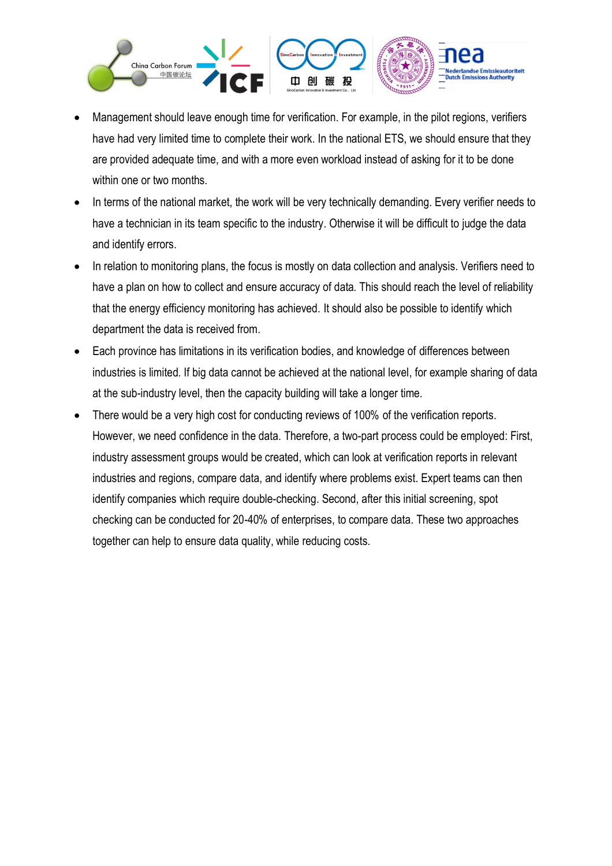

- Management should leave enough time for verification. For example, in the pilot regions, verifiers have had very limited time to complete their work. In the national ETS, we should ensure that they are provided adequate time, and with a more even workload instead of asking for it to be done within one or two months.
- In terms of the national market, the work will be very technically demanding. Every verifier needs to have a technician in its team specific to the industry. Otherwise it will be difficult to judge the data and identify errors.
- In relation to monitoring plans, the focus is mostly on data collection and analysis. Verifiers need to have a plan on how to collect and ensure accuracy of data. This should reach the level of reliability that the energy efficiency monitoring has achieved. It should also be possible to identify which department the data is received from.
- Each province has limitations in its verification bodies, and knowledge of differences between industries is limited. If big data cannot be achieved at the national level, for example sharing of data at the sub-industry level, then the capacity building will take a longer time.
- There would be a very high cost for conducting reviews of 100% of the verification reports. However, we need confidence in the data. Therefore, a two-part process could be employed: First, industry assessment groups would be created, which can look at verification reports in relevant industries and regions, compare data, and identify where problems exist. Expert teams can then identify companies which require double-checking. Second, after this initial screening, spot checking can be conducted for 20-40% of enterprises, to compare data. These two approaches together can help to ensure data quality, while reducing costs.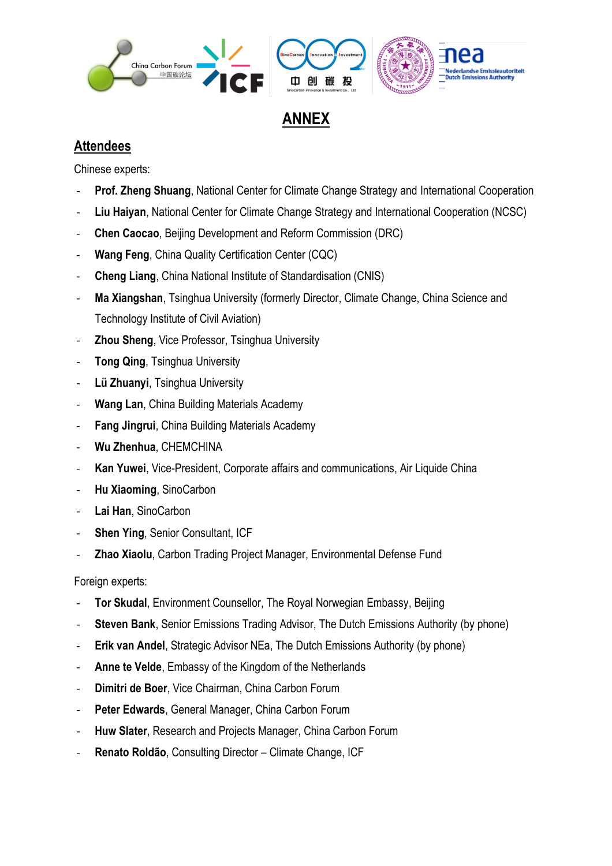

## **ANNEX**

#### **Attendees**

Chinese experts:

- **Prof. Zheng Shuang**, National Center for Climate Change Strategy and International Cooperation
- **Liu Haiyan**, National Center for Climate Change Strategy and International Cooperation (NCSC)
- **Chen Caocao**, Beijing Development and Reform Commission (DRC)
- **Wang Feng**, China Quality Certification Center (CQC)
- **Cheng Liang**, China National Institute of Standardisation (CNIS)
- **Ma Xiangshan**, Tsinghua University (formerly Director, Climate Change, China Science and Technology Institute of Civil Aviation)
- **Zhou Sheng, Vice Professor, Tsinghua University**
- **Tong Qing, Tsinghua University**
- **Lü Zhuanyi**, Tsinghua University
- **Wang Lan**, China Building Materials Academy
- **Fang Jingrui**, China Building Materials Academy
- **Wu Zhenhua**, CHEMCHINA
- **Kan Yuwei**, Vice-President, Corporate affairs and communications, Air Liquide China
- **Hu Xiaoming**, SinoCarbon
- Lai Han, SinoCarbon
- **Shen Ying, Senior Consultant, ICF**
- Zhao Xiaolu, Carbon Trading Project Manager, Environmental Defense Fund

Foreign experts:

- **Tor Skudal, Environment Counsellor, The Royal Norwegian Embassy, Beijing**
- **Steven Bank**, Senior Emissions Trading Advisor, The Dutch Emissions Authority (by phone)
- **Erik van Andel, Strategic Advisor NEa, The Dutch Emissions Authority (by phone)**
- Anne te Velde, Embassy of the Kingdom of the Netherlands
- **Dimitri de Boer**, Vice Chairman, China Carbon Forum
- Peter Edwards, General Manager, China Carbon Forum
- **Huw Slater**, Research and Projects Manager, China Carbon Forum
- **Renato Roldão**, Consulting Director Climate Change, ICF